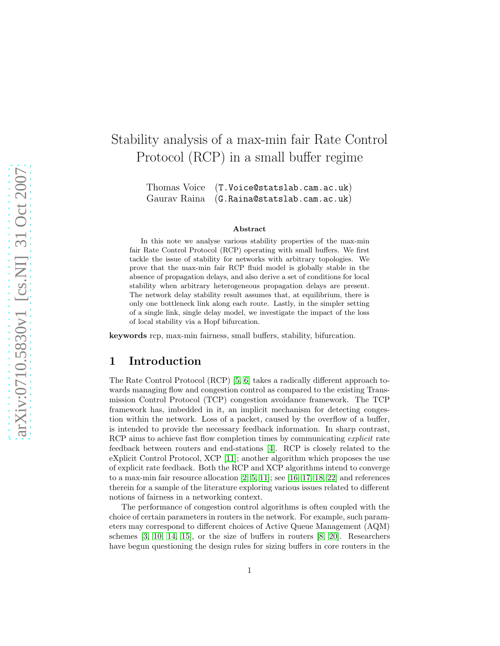# Stability analysis of a max-min fair Rate Control Protocol (RCP) in a small buffer regime

Thomas Voice (T.Voice@statslab.cam.ac.uk) Gaurav Raina (G.Raina@statslab.cam.ac.uk)

#### Abstract

In this note we analyse various stability properties of the max-min fair Rate Control Protocol (RCP) operating with small buffers. We first tackle the issue of stability for networks with arbitrary topologies. We prove that the max-min fair RCP fluid model is globally stable in the absence of propagation delays, and also derive a set of conditions for local stability when arbitrary heterogeneous propagation delays are present. The network delay stability result assumes that, at equilibrium, there is only one bottleneck link along each route. Lastly, in the simpler setting of a single link, single delay model, we investigate the impact of the loss of local stability via a Hopf bifurcation.

keywords rcp, max-min fairness, small buffers, stability, bifurcation.

## 1 Introduction

The Rate Control Protocol (RCP) [\[5,](#page-11-0) [6\]](#page-11-1) takes a radically different approach towards managing flow and congestion control as compared to the existing Transmission Control Protocol (TCP) congestion avoidance framework. The TCP framework has, imbedded in it, an implicit mechanism for detecting congestion within the network. Loss of a packet, caused by the overflow of a buffer, is intended to provide the necessary feedback information. In sharp contrast, RCP aims to achieve fast flow completion times by communicating *explicit* rate feedback between routers and end-stations [\[4\]](#page-11-2). RCP is closely related to the eXplicit Control Protocol, XCP [\[11\]](#page-11-3); another algorithm which proposes the use of explicit rate feedback. Both the RCP and XCP algorithms intend to converge to a max-min fair resource allocation [\[2,](#page-11-4) [5,](#page-11-0) [11\]](#page-11-3); see [\[16,](#page-12-0) [17,](#page-12-1) [18,](#page-12-2) [22\]](#page-12-3) and references therein for a sample of the literature exploring various issues related to different notions of fairness in a networking context.

The performance of congestion control algorithms is often coupled with the choice of certain parameters in routers in the network. For example, such parameters may correspond to different choices of Active Queue Management (AQM) schemes [\[3,](#page-11-5) [10,](#page-11-6) [14,](#page-12-4) [15\]](#page-12-5), or the size of buffers in routers [\[8,](#page-11-7) [20\]](#page-12-6). Researchers have begun questioning the design rules for sizing buffers in core routers in the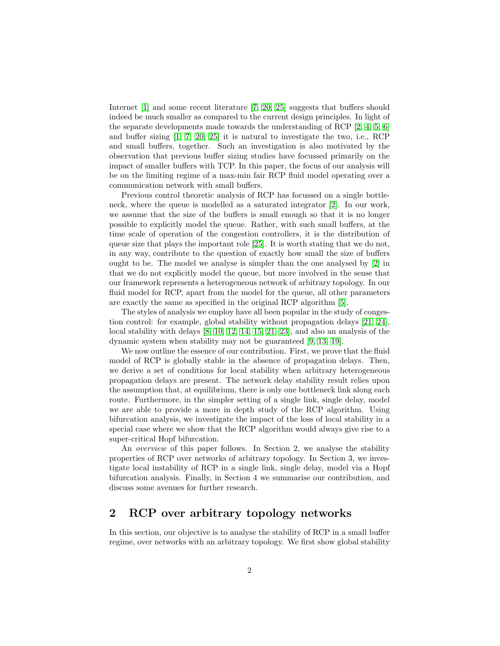Internet [\[1\]](#page-11-8) and some recent literature [\[7,](#page-11-9) [20,](#page-12-6) [25\]](#page-12-7) suggests that buffers should indeed be much smaller as compared to the current design principles. In light of the separate developments made towards the understanding of RCP [\[2,](#page-11-4) [4,](#page-11-2) [5,](#page-11-0) [6\]](#page-11-1) and buffer sizing  $\left[1, 7, 20, 25\right]$  $\left[1, 7, 20, 25\right]$  $\left[1, 7, 20, 25\right]$  $\left[1, 7, 20, 25\right]$  it is natural to investigate the two, i.e., RCP and small buffers, together. Such an investigation is also motivated by the observation that previous buffer sizing studies have focussed primarily on the impact of smaller buffers with TCP. In this paper, the focus of our analysis will be on the limiting regime of a max-min fair RCP fluid model operating over a communication network with small buffers.

Previous control theoretic analysis of RCP has focussed on a single bottleneck, where the queue is modelled as a saturated integrator [\[2\]](#page-11-4). In our work, we assume that the size of the buffers is small enough so that it is no longer possible to explicitly model the queue. Rather, with such small buffers, at the time scale of operation of the congestion controllers, it is the distribution of queue size that plays the important role [\[25\]](#page-12-7). It is worth stating that we do not, in any way, contribute to the question of exactly how small the size of buffers ought to be. The model we analyse is simpler than the one analysed by [\[2\]](#page-11-4) in that we do not explicitly model the queue, but more involved in the sense that our framework represents a heterogeneous network of arbitrary topology. In our fluid model for RCP, apart from the model for the queue, all other parameters are exactly the same as specified in the original RCP algorithm [\[5\]](#page-11-0).

The styles of analysis we employ have all been popular in the study of congestion control: for example, global stability without propagation delays [\[21,](#page-12-8) [24\]](#page-12-9), local stability with delays [\[8,](#page-11-7) [10,](#page-11-6) [12,](#page-11-10) [14,](#page-12-4) [15,](#page-12-5) [21,](#page-12-8) [23\]](#page-12-10), and also an analysis of the dynamic system when stability may not be guaranteed [\[9,](#page-11-11) [13,](#page-12-11) [19\]](#page-12-12).

We now outline the essence of our contribution. First, we prove that the fluid model of RCP is globally stable in the absence of propagation delays. Then, we derive a set of conditions for local stability when arbitrary heterogeneous propagation delays are present. The network delay stability result relies upon the assumption that, at equilibrium, there is only one bottleneck link along each route. Furthermore, in the simpler setting of a single link, single delay, model we are able to provide a more in depth study of the RCP algorithm. Using bifurcation analysis, we investigate the impact of the loss of local stability in a special case where we show that the RCP algorithm would always give rise to a super-critical Hopf bifurcation.

An overview of this paper follows. In Section 2, we analyse the stability properties of RCP over networks of arbitrary topology. In Section 3, we investigate local instability of RCP in a single link, single delay, model via a Hopf bifurcation analysis. Finally, in Section 4 we summarise our contribution, and discuss some avenues for further research.

# 2 RCP over arbitrary topology networks

In this section, our objective is to analyse the stability of RCP in a small buffer regime, over networks with an arbitrary topology. We first show global stability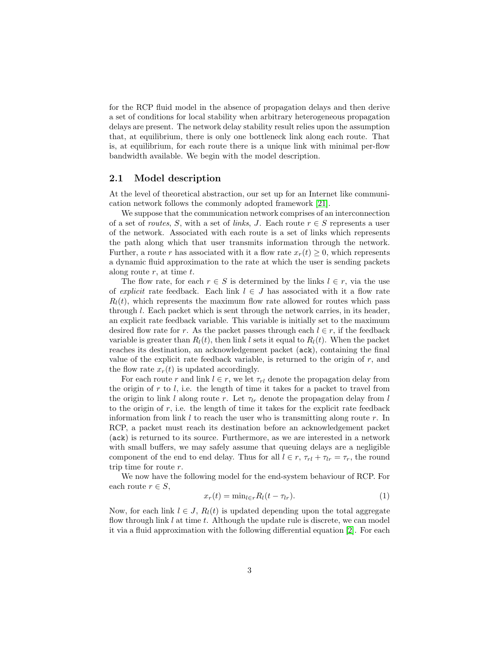for the RCP fluid model in the absence of propagation delays and then derive a set of conditions for local stability when arbitrary heterogeneous propagation delays are present. The network delay stability result relies upon the assumption that, at equilibrium, there is only one bottleneck link along each route. That is, at equilibrium, for each route there is a unique link with minimal per-flow bandwidth available. We begin with the model description.

### 2.1 Model description

At the level of theoretical abstraction, our set up for an Internet like communication network follows the commonly adopted framework [\[21\]](#page-12-8).

We suppose that the communication network comprises of an interconnection of a set of *routes*, S, with a set of *links*, J. Each route  $r \in S$  represents a user of the network. Associated with each route is a set of links which represents the path along which that user transmits information through the network. Further, a route r has associated with it a flow rate  $x_r(t) \geq 0$ , which represents a dynamic fluid approximation to the rate at which the user is sending packets along route  $r$ , at time  $t$ .

The flow rate, for each  $r \in S$  is determined by the links  $l \in r$ , via the use of explicit rate feedback. Each link  $l \in J$  has associated with it a flow rate  $R_l(t)$ , which represents the maximum flow rate allowed for routes which pass through l. Each packet which is sent through the network carries, in its header, an explicit rate feedback variable. This variable is initially set to the maximum desired flow rate for r. As the packet passes through each  $l \in r$ , if the feedback variable is greater than  $R_l(t)$ , then link l sets it equal to  $R_l(t)$ . When the packet reaches its destination, an acknowledgement packet (ack), containing the final value of the explicit rate feedback variable, is returned to the origin of  $r$ , and the flow rate  $x_r(t)$  is updated accordingly.

For each route r and link  $l \in r$ , we let  $\tau_{rl}$  denote the propagation delay from the origin of  $r$  to  $l$ , i.e. the length of time it takes for a packet to travel from the origin to link l along route r. Let  $\tau_{lr}$  denote the propagation delay from l to the origin of  $r$ , i.e. the length of time it takes for the explicit rate feedback information from link  $l$  to reach the user who is transmitting along route  $r$ . In RCP, a packet must reach its destination before an acknowledgement packet (ack) is returned to its source. Furthermore, as we are interested in a network with small buffers, we may safely assume that queuing delays are a negligible component of the end to end delay. Thus for all  $l \in r$ ,  $\tau_{rl} + \tau_{lr} = \tau_r$ , the round trip time for route r.

We now have the following model for the end-system behaviour of RCP. For each route  $r \in S$ ,

<span id="page-2-0"></span>
$$
x_r(t) = \min_{l \in r} R_l(t - \tau_{lr}).\tag{1}
$$

Now, for each link  $l \in J$ ,  $R_l(t)$  is updated depending upon the total aggregate flow through link  $l$  at time  $t$ . Although the update rule is discrete, we can model it via a fluid approximation with the following differential equation [\[2\]](#page-11-4). For each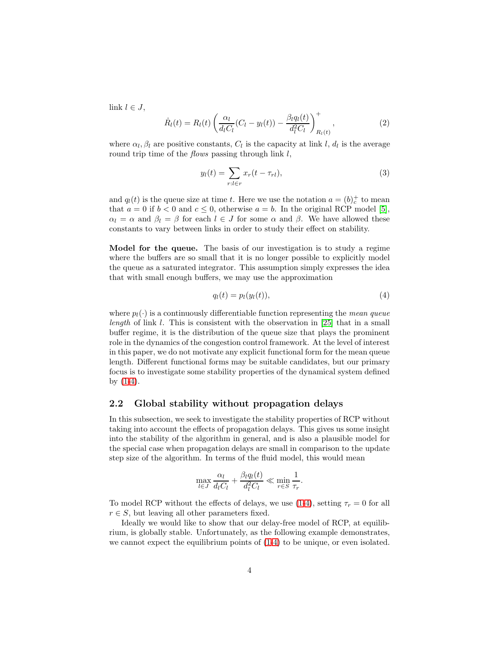link  $l \in J$ ,

<span id="page-3-1"></span>
$$
\dot{R}_l(t) = R_l(t) \left( \frac{\alpha_l}{d_l C_l} (C_l - y_l(t)) - \frac{\beta_l q_l(t)}{d_l^2 C_l} \right)_{R_l(t)}^+, \tag{2}
$$

where  $\alpha_l, \beta_l$  are positive constants,  $C_l$  is the capacity at link l,  $d_l$  is the average round trip time of the *flows* passing through link  $l$ ,

<span id="page-3-2"></span>
$$
y_l(t) = \sum_{r:l \in r} x_r(t - \tau_{rl}),\tag{3}
$$

and  $q_l(t)$  is the queue size at time t. Here we use the notation  $a = (b)<sub>c</sub>$  to mean that  $a = 0$  if  $b < 0$  and  $c \le 0$ , otherwise  $a = b$ . In the original RCP model [\[5\]](#page-11-0),  $\alpha_l = \alpha$  and  $\beta_l = \beta$  for each  $l \in J$  for some  $\alpha$  and  $\beta$ . We have allowed these constants to vary between links in order to study their effect on stability.

Model for the queue. The basis of our investigation is to study a regime where the buffers are so small that it is no longer possible to explicitly model the queue as a saturated integrator. This assumption simply expresses the idea that with small enough buffers, we may use the approximation

<span id="page-3-0"></span>
$$
q_l(t) = p_l(y_l(t)),\tag{4}
$$

where  $p_l(\cdot)$  is a continuously differentiable function representing the mean queue length of link l. This is consistent with the observation in [\[25\]](#page-12-7) that in a small buffer regime, it is the distribution of the queue size that plays the prominent role in the dynamics of the congestion control framework. At the level of interest in this paper, we do not motivate any explicit functional form for the mean queue length. Different functional forms may be suitable candidates, but our primary focus is to investigate some stability properties of the dynamical system defined by [\(1](#page-2-0)[-4\)](#page-3-0).

## 2.2 Global stability without propagation delays

In this subsection, we seek to investigate the stability properties of RCP without taking into account the effects of propagation delays. This gives us some insight into the stability of the algorithm in general, and is also a plausible model for the special case when propagation delays are small in comparison to the update step size of the algorithm. In terms of the fluid model, this would mean

$$
\max_{l \in J} \frac{\alpha_l}{d_l C_l} + \frac{\beta_l q_l(t)}{d_l^2 C_l} \ll \min_{r \in S} \frac{1}{\tau_r}.
$$

To model RCP without the effects of delays, we use [\(1-](#page-2-0)[4\)](#page-3-0), setting  $\tau_r = 0$  for all  $r \in S$ , but leaving all other parameters fixed.

Ideally we would like to show that our delay-free model of RCP, at equilibrium, is globally stable. Unfortunately, as the following example demonstrates, we cannot expect the equilibrium points of [\(1-](#page-2-0)[4\)](#page-3-0) to be unique, or even isolated.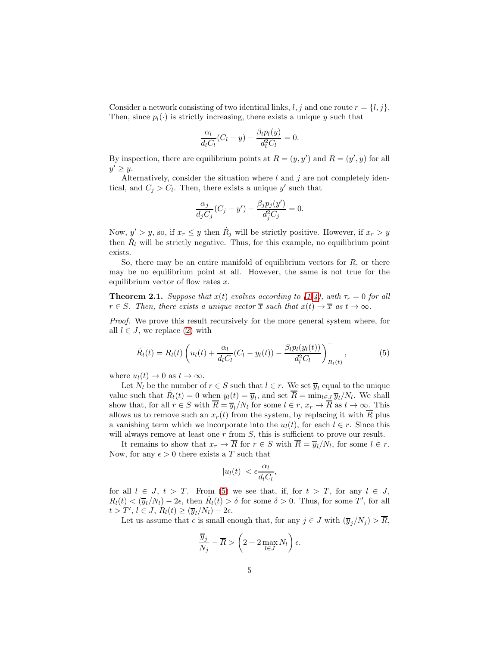Consider a network consisting of two identical links,  $l, j$  and one route  $r = \{l, j\}.$ Then, since  $p_l(\cdot)$  is strictly increasing, there exists a unique y such that

$$
\frac{\alpha_l}{d_l C_l}(C_l - y) - \frac{\beta_l p_l(y)}{d_l^2 C_l} = 0.
$$

By inspection, there are equilibrium points at  $R = (y, y')$  and  $R = (y', y)$  for all  $y' \geq y$ .

Alternatively, consider the situation where  $l$  and  $j$  are not completely identical, and  $C_j > C_l$ . Then, there exists a unique y' such that

$$
\frac{\alpha_j}{d_j C_j} (C_j - y') - \frac{\beta_j p_j(y')}{d_j^2 C_j} = 0.
$$

Now,  $y' > y$ , so, if  $x_r \leq y$  then  $R_j$  will be strictly positive. However, if  $x_r > y$ then  $\dot{R}_l$  will be strictly negative. Thus, for this example, no equilibrium point exists.

So, there may be an entire manifold of equilibrium vectors for  $R$ , or there may be no equilibrium point at all. However, the same is not true for the equilibrium vector of flow rates  $x$ .

**Theorem 2.1.** Suppose that  $x(t)$  evolves according to [\(1](#page-2-0)[-4\)](#page-3-0), with  $\tau_r = 0$  for all  $r \in S$ . Then, there exists a unique vector  $\overline{x}$  such that  $x(t) \to \overline{x}$  as  $t \to \infty$ .

Proof. We prove this result recursively for the more general system where, for all  $l \in J$ , we replace [\(2\)](#page-3-1) with

<span id="page-4-0"></span>
$$
\dot{R}_l(t) = R_l(t) \left( u_l(t) + \frac{\alpha_l}{d_l C_l} (C_l - y_l(t)) - \frac{\beta_l p_l(y_l(t))}{d_l^2 C_l} \right)_{R_l(t)}^+, \tag{5}
$$

where  $u_l(t) \to 0$  as  $t \to \infty$ .

Let  $N_l$  be the number of  $r \in S$  such that  $l \in r$ . We set  $\overline{y}_l$  equal to the unique value such that  $\dot{R}_l(t) = 0$  when  $y_l(t) = \overline{y}_l$ , and set  $\overline{R} = \min_{l \in J} \overline{y}_l/N_l$ . We shall show that, for all  $r \in S$  with  $R = \overline{y}_l/N_l$  for some  $l \in r$ ,  $x_r \to R$  as  $t \to \infty$ . This allows us to remove such an  $x_r(t)$  from the system, by replacing it with  $\overline{R}$  plus a vanishing term which we incorporate into the  $u_l(t)$ , for each  $l \in r$ . Since this will always remove at least one  $r$  from  $S$ , this is sufficient to prove our result.

It remains to show that  $x_r \to R$  for  $r \in S$  with  $R = \overline{y}_l/N_l$ , for some  $l \in r$ . Now, for any  $\epsilon > 0$  there exists a T such that

$$
|u_l(t)| < \epsilon \frac{\alpha_l}{d_l C_l},
$$

for all  $l \in J$ ,  $t > T$ . From [\(5\)](#page-4-0) we see that, if, for  $t > T$ , for any  $l \in J$ ,  $R_l(t) < (\overline{y}_l/N_l) - 2\epsilon$ , then  $\dot{R}_l(t) > \delta$  for some  $\delta > 0$ . Thus, for some T', for all  $t > T', l \in J, R_l(t) \ge (\overline{y}_l/N_l) - 2\epsilon.$ 

Let us assume that  $\epsilon$  is small enough that, for any  $j \in J$  with  $(\overline{y}_j/N_j) > \overline{R}$ ,

$$
\frac{\overline{y}_j}{N_j} - \overline{R} > \left(2 + 2 \max_{l \in J} N_l\right) \epsilon.
$$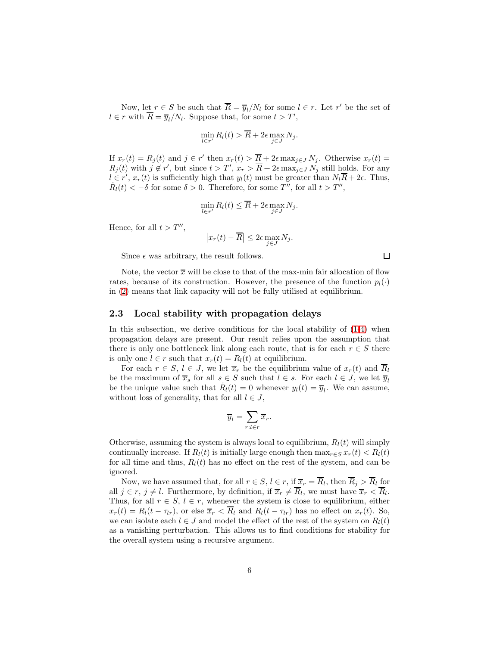Now, let  $r \in S$  be such that  $\overline{R} = \overline{y}_l/N_l$  for some  $l \in r$ . Let  $r'$  be the set of  $l \in r$  with  $\overline{R} = \overline{y}_l/N_l$ . Suppose that, for some  $t > T'$ ,

$$
\min_{l \in r'} R_l(t) > \overline{R} + 2\epsilon \max_{j \in J} N_j.
$$

If  $x_r(t) = R_j(t)$  and  $j \in r'$  then  $x_r(t) > \overline{R} + 2\epsilon \max_{j \in J} N_j$ . Otherwise  $x_r(t) =$  $R_j(t)$  with  $j \notin r'$ , but since  $t > T'$ ,  $x_r > \overline{R} + 2\epsilon \max_{j \in J} N_j$  still holds. For any  $l \in r', x_r(t)$  is sufficiently high that  $y_l(t)$  must be greater than  $N_l\overline{R}+2\epsilon$ . Thus,  $\dot{R}_l(t) < -\delta$  for some  $\delta > 0$ . Therefore, for some T'', for all  $t > T''$ ,

$$
\min_{l \in r'} R_l(t) \leq \overline{R} + 2\epsilon \max_{j \in J} N_j.
$$

Hence, for all  $t > T''$ ,

$$
\left| x_r(t) - \overline{R} \right| \le 2\epsilon \max_{j \in J} N_j.
$$

Since  $\epsilon$  was arbitrary, the result follows.

 $\Box$ 

Note, the vector  $\bar{x}$  will be close to that of the max-min fair allocation of flow rates, because of its construction. However, the presence of the function  $p_l(\cdot)$ in [\(2\)](#page-3-1) means that link capacity will not be fully utilised at equilibrium.

## 2.3 Local stability with propagation delays

In this subsection, we derive conditions for the local stability of [\(1](#page-2-0)[-4\)](#page-3-0) when propagation delays are present. Our result relies upon the assumption that there is only one bottleneck link along each route, that is for each  $r \in S$  there is only one  $l \in r$  such that  $x_r(t) = R_l(t)$  at equilibrium.

For each  $r \in S$ ,  $l \in J$ , we let  $\overline{x}_r$  be the equilibrium value of  $x_r(t)$  and  $\overline{R}_l$ be the maximum of  $\overline{x}_s$  for all  $s \in S$  such that  $l \in s$ . For each  $l \in J$ , we let  $\overline{y}_l$ be the unique value such that  $\dot{R}_l(t) = 0$  whenever  $y_l(t) = \overline{y}_l$ . We can assume, without loss of generality, that for all  $l \in J$ ,

$$
\overline{y}_l = \sum_{r:l \in r} \overline{x}_r.
$$

Otherwise, assuming the system is always local to equilibrium,  $R<sub>l</sub>(t)$  will simply continually increase. If  $R_l(t)$  is initially large enough then  $\max_{r \in S} x_r(t) < R_l(t)$ for all time and thus,  $R_l(t)$  has no effect on the rest of the system, and can be ignored.

Now, we have assumed that, for all  $r \in S$ ,  $l \in r$ , if  $\overline{x}_r = R_l$ , then  $R_j > R_l$  for all  $j \in r$ ,  $j \neq l$ . Furthermore, by definition, if  $\overline{x}_r \neq R_l$ , we must have  $\overline{x}_r < R_l$ . Thus, for all  $r \in S$ ,  $l \in r$ , whenever the system is close to equilibrium, either  $x_r(t) = R_l(t - \tau_{lr})$ , or else  $\overline{x}_r < \overline{R}_l$  and  $R_l(t - \tau_{lr})$  has no effect on  $x_r(t)$ . So, we can isolate each  $l \in J$  and model the effect of the rest of the system on  $R_l(t)$ as a vanishing perturbation. This allows us to find conditions for stability for the overall system using a recursive argument.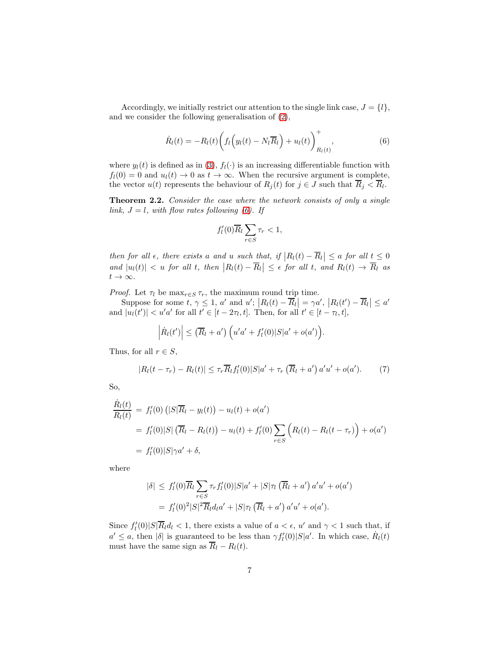Accordingly, we initially restrict our attention to the single link case,  $J = \{l\}$ , and we consider the following generalisation of [\(2\)](#page-3-1),

<span id="page-6-0"></span>
$$
\dot{R}_l(t) = -R_l(t) \bigg( f_l \bigg( y_l(t) - N_l \overline{R}_l \bigg) + u_l(t) \bigg)_{R_l(t)}^+, \tag{6}
$$

where  $y_l(t)$  is defined as in [\(3\)](#page-3-2),  $f_l(\cdot)$  is an increasing differentiable function with  $f_l(0) = 0$  and  $u_l(t) \to 0$  as  $t \to \infty$ . When the recursive argument is complete, the vector  $u(t)$  represents the behaviour of  $R_j(t)$  for  $j \in J$  such that  $R_j < R_l$ .

<span id="page-6-1"></span>Theorem 2.2. Consider the case where the network consists of only a single link,  $J = l$ , with flow rates following [\(6\)](#page-6-0). If

$$
f_l'(0)\overline{R}_l\sum_{r\in S}\tau_r<1,
$$

then for all  $\epsilon$ , there exists a and u such that, if  $|R_l(t) - \overline{R}_l| \le a$  for all  $t \le 0$ and  $|u_l(t)| < u$  for all t, then  $|R_l(t) - \overline{R}_l| \leq \epsilon$  for all t, and  $R_l(t) \to \overline{R}_l$  as  $t\rightarrow\infty.$ 

*Proof.* Let  $\tau_l$  be  $\max_{r \in S} \tau_r$ , the maximum round trip time.

Suppose for some  $t, \gamma \leq 1, a'$  and  $u'; |R_l(t) - \overline{R}_l| = \gamma a', |R_l(t') - \overline{R}_l| \leq a'$ and  $|u_l(t')| < u'a'$  for all  $t' \in [t - 2\tau_l, t]$ . Then, for all  $t' \in [t - \tau_l, t]$ ,

$$
\left|\dot{R}_l(t')\right| \leq \left(\overline{R}_l + a'\right) \left(u'a' + f'_l(0)|S|a' + o(a')\right).
$$

Thus, for all  $r \in S$ ,

$$
|R_l(t-\tau_r) - R_l(t)| \leq \tau_r \overline{R}_l f'_l(0)|S|a' + \tau_r \left(\overline{R}_l + a'\right)a'u' + o(a'). \tag{7}
$$

So,

$$
\frac{\dot{R}_l(t)}{R_l(t)} = f'_l(0) (|S|\overline{R}_l - y_l(t)) - u_l(t) + o(a')
$$
\n
$$
= f'_l(0) |S| (\overline{R}_l - R_l(t)) - u_l(t) + f'_l(0) \sum_{r \in S} (R_l(t) - R_l(t - \tau_r)) + o(a')
$$
\n
$$
= f'_l(0) |S| \gamma a' + \delta,
$$

where

$$
|\delta| \leq f'_l(0)\overline{R}_l \sum_{r \in S} \tau_r f'_l(0)|S|a' + |S|\tau_l(\overline{R}_l + a') a'u' + o(a')
$$
  
=  $f'_l(0)^2|S|^2 \overline{R}_l d_l a' + |S|\tau_l(\overline{R}_l + a') a'u' + o(a').$ 

Since  $f_l'(0)|S|\overline{R}_l d_l < 1$ , there exists a value of  $a < \epsilon$ , u' and  $\gamma < 1$  such that, if  $a' \leq a$ , then  $|\delta|$  is guaranteed to be less than  $\gamma f_l'(0)|S|a'$ . In which case,  $R_l(t)$ must have the same sign as  $\overline{R}_l - R_l(t)$ .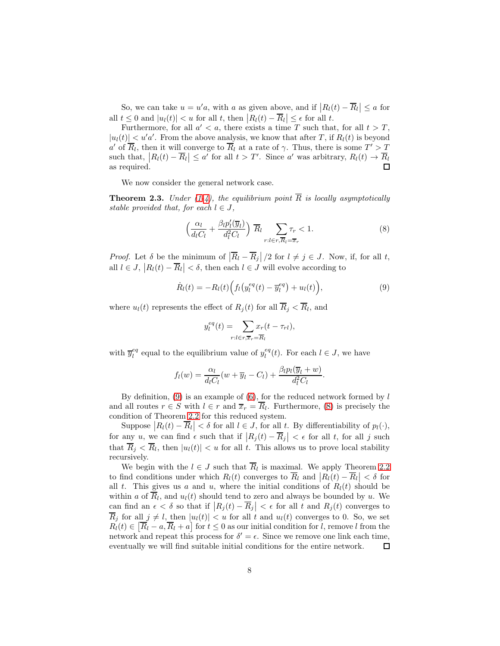So, we can take  $u = u'a$ , with a as given above, and if  $|R_l(t) - \overline{R}_l| \le a$  for all  $t \leq 0$  and  $|u_l(t)| < u$  for all t, then  $|R_l(t) - \overline{R}_l| \leq \epsilon$  for all t.

Furthermore, for all  $a' < a$ , there exists a time T such that, for all  $t > T$ ,  $|u_l(t)| < u'a'$ . From the above analysis, we know that after T, if  $R_l(t)$  is beyond a' of  $\overline{R}_l$ , then it will converge to  $\overline{R}_l$  at a rate of  $\gamma$ . Thus, there is some  $T' > T$ such that,  $|R_l(t) - \overline{R}_l| \le a'$  for all  $t > T'$ . Since a' was arbitrary,  $R_l(t) \to \overline{R}_l$ as required. П

We now consider the general network case.

<span id="page-7-2"></span>**Theorem 2.3.** Under [\(1-](#page-2-0)[4\)](#page-3-0), the equilibrium point  $\overline{R}$  is locally asymptotically stable provided that, for each  $l \in J$ ,

<span id="page-7-1"></span>
$$
\left(\frac{\alpha_l}{d_l C_l} + \frac{\beta_l p_l'(\overline{y}_l)}{d_l^2 C_l}\right) \overline{R}_l \sum_{r:l \in r, \overline{R}_l = \overline{x}_r} \tau_r < 1. \tag{8}
$$

*Proof.* Let  $\delta$  be the minimum of  $|\overline{R}_l - \overline{R}_j|/2$  for  $l \neq j \in J$ . Now, if, for all t, all  $l \in J$ ,  $|R_l(t) - \overline{R}_l| < \delta$ , then each  $l \in J$  will evolve according to

<span id="page-7-0"></span>
$$
\dot{R}_l(t) = -R_l(t) \Big( f_l \big( y_l^{eq}(t) - \overline{y}_l^{eq} \big) + u_l(t) \Big), \tag{9}
$$

where  $u_l(t)$  represents the effect of  $R_j(t)$  for all  $R_j < R_l$ , and

$$
y_l^{eq}(t) = \sum_{r:l \in r, \overline{x}_r = \overline{R}_l} x_r(t - \tau_{rl}),
$$

with  $\overline{y}_l^{eq}$  equal to the equilibrium value of  $y_l^{eq}(t)$ . For each  $l \in J$ , we have

$$
f_l(w) = \frac{\alpha_l}{d_l C_l}(w + \overline{y}_l - C_l) + \frac{\beta_l p_l(\overline{y}_l + w)}{d_l^2 C_l}.
$$

By definition,  $(9)$  is an example of  $(6)$ , for the reduced network formed by l and all routes  $r \in S$  with  $l \in r$  and  $\overline{x}_r = R_l$ . Furthermore, [\(8\)](#page-7-1) is precisely the condition of Theorem [2.2](#page-6-1) for this reduced system.

Suppose  $|R_l(t) - \overline{R}_l| < \delta$  for all  $l \in J$ , for all t. By differentiability of  $p_l(\cdot)$ , for any u, we can find  $\epsilon$  such that if  $|R_j(t) - \overline{R}_j| < \epsilon$  for all t, for all j such that  $R_j < R_l$ , then  $|u_l(t)| < u$  for all t. This allows us to prove local stability recursively.

We begin with the  $l \in J$  such that  $R_l$  is maximal. We apply Theorem [2.2](#page-6-1) to find conditions under which  $R_l(t)$  converges to  $\overline{R}_l$  and  $|R_l(t) - \overline{R}_l| < \delta$  for all t. This gives us a and u, where the initial conditions of  $R_l(t)$  should be within a of  $R_l$ , and  $u_l(t)$  should tend to zero and always be bounded by u. We can find an  $\epsilon < \delta$  so that if  $|R_j(t) - \overline{R}_j| < \epsilon$  for all t and  $R_j(t)$  converges to  $\overline{R}_j$  for all  $j \neq l$ , then  $|u_l(t)| < u$  for all t and  $u_l(t)$  converges to 0. So, we set  $R_l(t) \in \overline{R_l - a, R_l + a}$  for  $t \leq 0$  as our initial condition for l, remove l from the network and repeat this process for  $\delta' = \epsilon$ . Since we remove one link each time, eventually we will find suitable initial conditions for the entire network.  $\Box$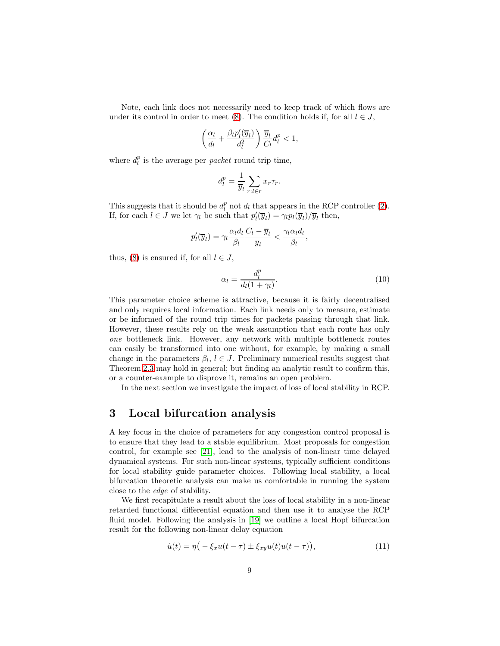Note, each link does not necessarily need to keep track of which flows are under its control in order to meet [\(8\)](#page-7-1). The condition holds if, for all  $l \in J$ ,

$$
\left(\frac{\alpha_l}{d_l} + \frac{\beta_l p_l'(\overline{y}_l)}{d_l^2}\right) \frac{\overline{y}_l}{C_l} d_l^p < 1,
$$

where  $d_l^p$  is the average per *packet* round trip time,

$$
d_l^p = \frac{1}{\overline{y}_l} \sum_{r:l \in r} \overline{x}_r \tau_r.
$$

This suggests that it should be  $d_l^p$  not  $d_l$  that appears in the RCP controller [\(2\)](#page-3-1). If, for each  $l \in J$  we let  $\gamma_l$  be such that  $p'_l(\overline{y}_l) = \gamma_l p_l(\overline{y}_l) / \overline{y}_l$  then,

$$
p'_l(\overline{y}_l) = \gamma_l \frac{\alpha_l d_l}{\beta_l} \frac{C_l - \overline{y}_l}{\overline{y}_l} < \frac{\gamma_l \alpha_l d_l}{\beta_l},
$$

thus, [\(8\)](#page-7-1) is ensured if, for all  $l \in J$ ,

$$
\alpha_l = \frac{d_l^p}{d_l(1+\gamma_l)}.\tag{10}
$$

This parameter choice scheme is attractive, because it is fairly decentralised and only requires local information. Each link needs only to measure, estimate or be informed of the round trip times for packets passing through that link. However, these results rely on the weak assumption that each route has only one bottleneck link. However, any network with multiple bottleneck routes can easily be transformed into one without, for example, by making a small change in the parameters  $\beta_l, l \in J$ . Preliminary numerical results suggest that Theorem [2.3](#page-7-2) may hold in general; but finding an analytic result to confirm this, or a counter-example to disprove it, remains an open problem.

In the next section we investigate the impact of loss of local stability in RCP.

## 3 Local bifurcation analysis

A key focus in the choice of parameters for any congestion control proposal is to ensure that they lead to a stable equilibrium. Most proposals for congestion control, for example see [\[21\]](#page-12-8), lead to the analysis of non-linear time delayed dynamical systems. For such non-linear systems, typically sufficient conditions for local stability guide parameter choices. Following local stability, a local bifurcation theoretic analysis can make us comfortable in running the system close to the edge of stability.

We first recapitulate a result about the loss of local stability in a non-linear retarded functional differential equation and then use it to analyse the RCP fluid model. Following the analysis in [\[19\]](#page-12-12) we outline a local Hopf bifurcation result for the following non-linear delay equation

<span id="page-8-0"></span>
$$
\dot{u}(t) = \eta \big( -\xi_x u(t-\tau) \pm \xi_{xy} u(t) u(t-\tau) \big),\tag{11}
$$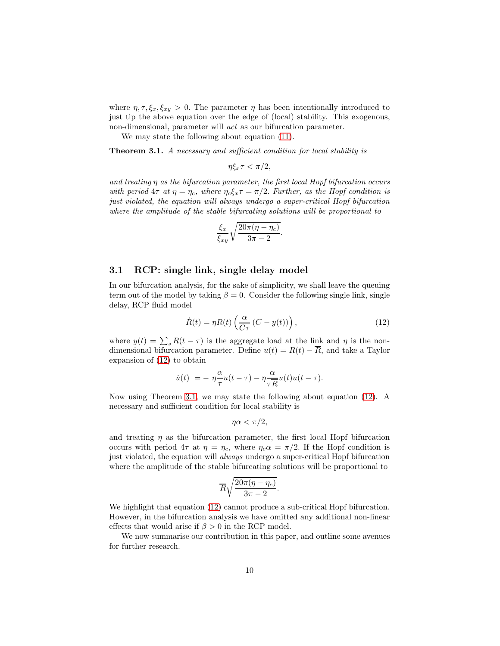where  $\eta, \tau, \xi_x, \xi_{xy} > 0$ . The parameter  $\eta$  has been intentionally introduced to just tip the above equation over the edge of (local) stability. This exogenous, non-dimensional, parameter will act as our bifurcation parameter.

We may state the following about equation [\(11\)](#page-8-0).

<span id="page-9-1"></span>Theorem 3.1. A necessary and sufficient condition for local stability is

$$
\eta \xi_x \tau < \pi/2,
$$

and treating η as the bifurcation parameter, the first local Hopf bifurcation occurs with period  $4\tau$  at  $\eta = \eta_c$ , where  $\eta_c \xi_x \tau = \pi/2$ . Further, as the Hopf condition is just violated, the equation will always undergo a super-critical Hopf bifurcation where the amplitude of the stable bifurcating solutions will be proportional to

$$
\frac{\xi_x}{\xi_{xy}}\sqrt{\frac{20\pi(\eta-\eta_c)}{3\pi-2}}.
$$

#### 3.1 RCP: single link, single delay model

In our bifurcation analysis, for the sake of simplicity, we shall leave the queuing term out of the model by taking  $\beta = 0$ . Consider the following single link, single delay, RCP fluid model

<span id="page-9-0"></span>
$$
\dot{R}(t) = \eta R(t) \left( \frac{\alpha}{C\tau} \left( C - y(t) \right) \right), \tag{12}
$$

where  $y(t) = \sum_{s} R(t - \tau)$  is the aggregate load at the link and  $\eta$  is the nondimensional bifurcation parameter. Define  $u(t) = R(t) - \overline{R}$ , and take a Taylor expansion of [\(12\)](#page-9-0) to obtain

$$
\dot{u}(t)\; = -\; \eta \frac{\alpha}{\tau} u(t-\tau) - \eta \frac{\alpha}{\tau R} u(t) u(t-\tau).
$$

Now using Theorem [3.1,](#page-9-1) we may state the following about equation [\(12\)](#page-9-0). A necessary and sufficient condition for local stability is

$$
\eta \alpha < \pi/2,
$$

and treating  $\eta$  as the bifurcation parameter, the first local Hopf bifurcation occurs with period  $4\tau$  at  $\eta = \eta_c$ , where  $\eta_c \alpha = \pi/2$ . If the Hopf condition is just violated, the equation will *always* undergo a super-critical Hopf bifurcation where the amplitude of the stable bifurcating solutions will be proportional to

$$
\overline{R}\sqrt{\frac{20\pi(\eta-\eta_c)}{3\pi-2}}.
$$

We highlight that equation [\(12\)](#page-9-0) cannot produce a sub-critical Hopf bifurcation. However, in the bifurcation analysis we have omitted any additional non-linear effects that would arise if  $\beta > 0$  in the RCP model.

We now summarise our contribution in this paper, and outline some avenues for further research.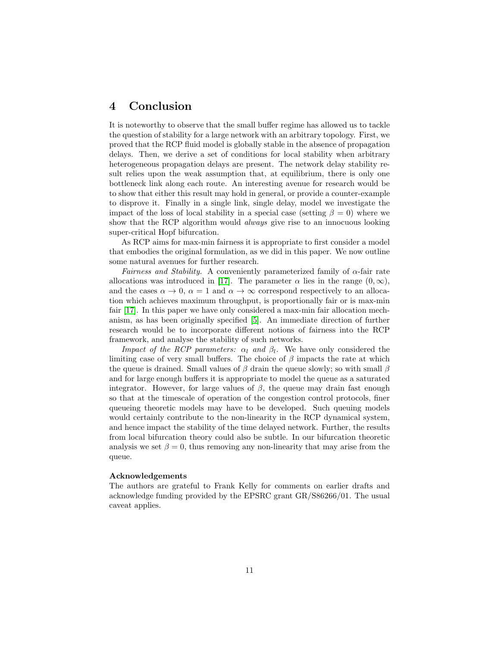# 4 Conclusion

It is noteworthy to observe that the small buffer regime has allowed us to tackle the question of stability for a large network with an arbitrary topology. First, we proved that the RCP fluid model is globally stable in the absence of propagation delays. Then, we derive a set of conditions for local stability when arbitrary heterogeneous propagation delays are present. The network delay stability result relies upon the weak assumption that, at equilibrium, there is only one bottleneck link along each route. An interesting avenue for research would be to show that either this result may hold in general, or provide a counter-example to disprove it. Finally in a single link, single delay, model we investigate the impact of the loss of local stability in a special case (setting  $\beta = 0$ ) where we show that the RCP algorithm would *always* give rise to an innocuous looking super-critical Hopf bifurcation.

As RCP aims for max-min fairness it is appropriate to first consider a model that embodies the original formulation, as we did in this paper. We now outline some natural avenues for further research.

Fairness and Stability. A conveniently parameterized family of  $\alpha$ -fair rate allocations was introduced in [\[17\]](#page-12-1). The parameter  $\alpha$  lies in the range  $(0, \infty)$ , and the cases  $\alpha \to 0$ ,  $\alpha = 1$  and  $\alpha \to \infty$  correspond respectively to an allocation which achieves maximum throughput, is proportionally fair or is max-min fair [\[17\]](#page-12-1). In this paper we have only considered a max-min fair allocation mechanism, as has been originally specified [\[5\]](#page-11-0). An immediate direction of further research would be to incorporate different notions of fairness into the RCP framework, and analyse the stability of such networks.

*Impact of the RCP parameters:*  $\alpha_l$  *and*  $\beta_l$ . We have only considered the limiting case of very small buffers. The choice of  $\beta$  impacts the rate at which the queue is drained. Small values of  $\beta$  drain the queue slowly; so with small  $\beta$ and for large enough buffers it is appropriate to model the queue as a saturated integrator. However, for large values of  $\beta$ , the queue may drain fast enough so that at the timescale of operation of the congestion control protocols, finer queueing theoretic models may have to be developed. Such queuing models would certainly contribute to the non-linearity in the RCP dynamical system, and hence impact the stability of the time delayed network. Further, the results from local bifurcation theory could also be subtle. In our bifurcation theoretic analysis we set  $\beta = 0$ , thus removing any non-linearity that may arise from the queue.

#### Acknowledgements

The authors are grateful to Frank Kelly for comments on earlier drafts and acknowledge funding provided by the EPSRC grant GR/S86266/01. The usual caveat applies.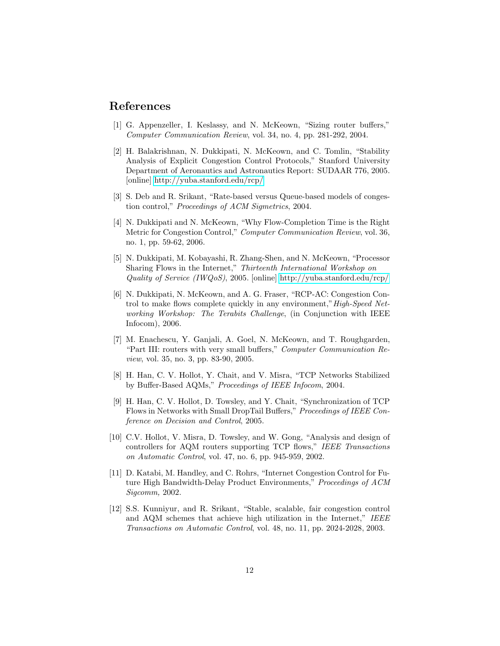## <span id="page-11-8"></span>References

- <span id="page-11-4"></span>[1] G. Appenzeller, I. Keslassy, and N. McKeown, "Sizing router buffers," Computer Communication Review, vol. 34, no. 4, pp. 281-292, 2004.
- [2] H. Balakrishnan, N. Dukkipati, N. McKeown, and C. Tomlin, "Stability Analysis of Explicit Congestion Control Protocols," Stanford University Department of Aeronautics and Astronautics Report: SUDAAR 776, 2005. [online]<http://yuba.stanford.edu/rcp/>
- <span id="page-11-5"></span><span id="page-11-2"></span>[3] S. Deb and R. Srikant, "Rate-based versus Queue-based models of congestion control," Proceedings of ACM Sigmetrics, 2004.
- [4] N. Dukkipati and N. McKeown, "Why Flow-Completion Time is the Right Metric for Congestion Control," Computer Communication Review, vol. 36, no. 1, pp. 59-62, 2006.
- <span id="page-11-0"></span>[5] N. Dukkipati, M. Kobayashi, R. Zhang-Shen, and N. McKeown, "Processor Sharing Flows in the Internet," Thirteenth International Workshop on Quality of Service (IWQoS), 2005. [online]<http://yuba.stanford.edu/rcp/>
- <span id="page-11-1"></span>[6] N. Dukkipati, N. McKeown, and A. G. Fraser, "RCP-AC: Congestion Control to make flows complete quickly in any environment,"High-Speed Networking Workshop: The Terabits Challenge, (in Conjunction with IEEE Infocom), 2006.
- <span id="page-11-9"></span>[7] M. Enachescu, Y. Ganjali, A. Goel, N. McKeown, and T. Roughgarden, "Part III: routers with very small buffers," Computer Communication Review, vol. 35, no. 3, pp. 83-90, 2005.
- <span id="page-11-7"></span>[8] H. Han, C. V. Hollot, Y. Chait, and V. Misra, "TCP Networks Stabilized by Buffer-Based AQMs," Proceedings of IEEE Infocom, 2004.
- <span id="page-11-11"></span>[9] H. Han, C. V. Hollot, D. Towsley, and Y. Chait, "Synchronization of TCP Flows in Networks with Small DropTail Buffers," Proceedings of IEEE Conference on Decision and Control, 2005.
- <span id="page-11-6"></span>[10] C.V. Hollot, V. Misra, D. Towsley, and W. Gong, "Analysis and design of controllers for AQM routers supporting TCP flows," IEEE Transactions on Automatic Control, vol. 47, no. 6, pp. 945-959, 2002.
- <span id="page-11-3"></span>[11] D. Katabi, M. Handley, and C. Rohrs, "Internet Congestion Control for Future High Bandwidth-Delay Product Environments," Proceedings of ACM Sigcomm, 2002.
- <span id="page-11-10"></span>[12] S.S. Kunniyur, and R. Srikant, "Stable, scalable, fair congestion control and AQM schemes that achieve high utilization in the Internet," IEEE Transactions on Automatic Control, vol. 48, no. 11, pp. 2024-2028, 2003.